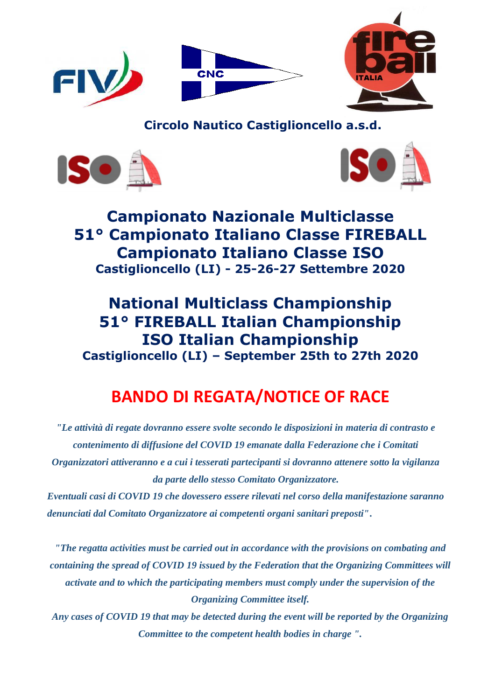

 **Circolo Nautico Castiglioncello a.s.d.**





**Campionato Nazionale Multiclasse 51° Campionato Italiano Classe FIREBALL Campionato Italiano Classe ISO Castiglioncello (LI) - 25-26-27 Settembre 2020**

# **National Multiclass Championship 51° FIREBALL Italian Championship ISO Italian Championship Castiglioncello (LI) – September 25th to 27th 2020**

# **BANDO DI REGATA/NOTICE OF RACE**

*"Le attività di regate dovranno essere svolte secondo le disposizioni in materia di contrasto e contenimento di diffusione del COVID 19 emanate dalla Federazione che i Comitati Organizzatori attiveranno e a cui i tesserati partecipanti si dovranno attenere sotto la vigilanza da parte dello stesso Comitato Organizzatore.*

*Eventuali casi di COVID 19 che dovessero essere rilevati nel corso della manifestazione saranno denunciati dal Comitato Organizzatore ai competenti organi sanitari preposti"***.**

*"The regatta activities must be carried out in accordance with the provisions on combating and containing the spread of COVID 19 issued by the Federation that the Organizing Committees will activate and to which the participating members must comply under the supervision of the Organizing Committee itself.*

*Any cases of COVID 19 that may be detected during the event will be reported by the Organizing Committee to the competent health bodies in charge ".*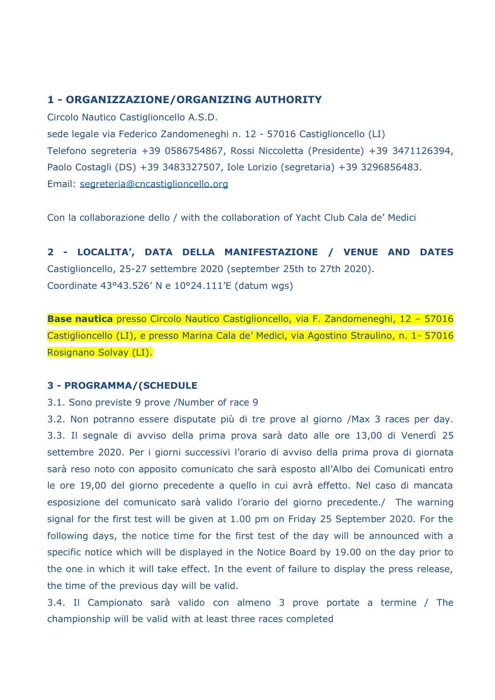# **1 - ORGANIZZAZIONE/ORGANIZING AUTHORITY**

Circolo Nautico Castiglioncello A.S.D. sede legale via Federico Zandomeneghi n. 12 - 57016 Castiglioncello (LI) Telefono segreteria +39 0586754867, Rossi Niccoletta (Presidente) +39 3471126394, Paolo Costagli (DS) +39 3483327507, Iole Lorizio (segretaria) +39 3296856483. Email: [segreteria@cncastiglioncello.org](mailto:segreteria@cncastiglioncello.org)

Con la collaborazione dello / with the collaboration of Yacht Club Cala de' Medici

**2 - LOCALITA', DATA DELLA MANIFESTAZIONE / VENUE AND DATES** Castiglioncello, 25-27 settembre 2020 (september 25th to 27th 2020). Coordinate 43°43.526' N e 10°24.111'E (datum wgs)

**Base nautica** presso Circolo Nautico Castiglioncello, via F. Zandomeneghi, 12 – 57016 Castiglioncello (LI), e presso Marina Cala de' Medici, via Agostino Straulino, n. 1- 57016 Rosignano Solvay (LI).

# **3 - PROGRAMMA/(SCHEDULE**

3.1. Sono previste 9 prove /Number of race 9

3.2. Non potranno essere disputate più di tre prove al giorno /Max 3 races per day. 3.3. Il segnale di avviso della prima prova sarà dato alle ore 13,00 di Venerdì 25 settembre 2020. Per i giorni successivi l'orario di avviso della prima prova di giornata sarà reso noto con apposito comunicato che sarà esposto all'Albo dei Comunicati entro le ore 19,00 del giorno precedente a quello in cui avrà effetto. Nel caso di mancata esposizione del comunicato sarà valido l'orario del giorno precedente./ The warning signal for the first test will be given at 1.00 pm on Friday 25 September 2020. For the following days, the notice time for the first test of the day will be announced with a specific notice which will be displayed in the Notice Board by 19.00 on the day prior to the one in which it will take effect. In the event of failure to display the press release, the time of the previous day will be valid.

3.4. Il Campionato sarà valido con almeno 3 prove portate a termine / The championship will be valid with at least three races completed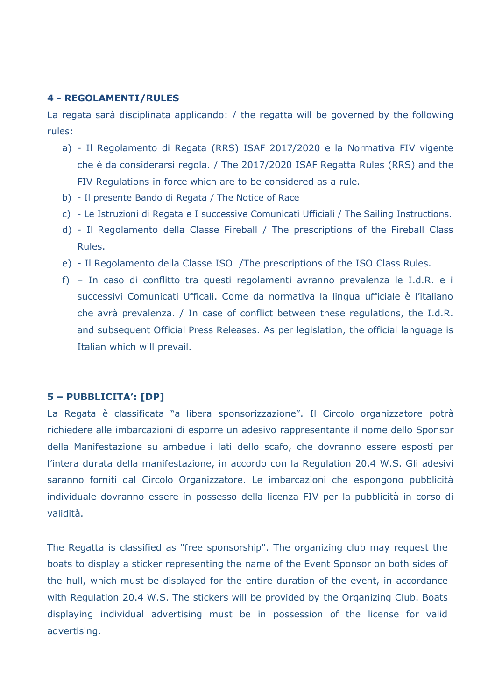#### **4 - REGOLAMENTI/RULES**

La regata sarà disciplinata applicando: / the regatta will be governed by the following rules:

- a) Il Regolamento di Regata (RRS) ISAF 2017/2020 e la Normativa FIV vigente che è da considerarsi regola. / The 2017/2020 ISAF Regatta Rules (RRS) and the FIV Regulations in force which are to be considered as a rule.
- b) Il presente Bando di Regata / The Notice of Race
- c) Le Istruzioni di Regata e I successive Comunicati Ufficiali / The Sailing Instructions.
- d) Il Regolamento della Classe Fireball / The prescriptions of the Fireball Class Rules.
- e) Il Regolamento della Classe ISO /The prescriptions of the ISO Class Rules.
- f) In caso di conflitto tra questi regolamenti avranno prevalenza le I.d.R. e i successivi Comunicati Ufficali. Come da normativa la lingua ufficiale è l'italiano che avrà prevalenza. / In case of conflict between these regulations, the I.d.R. and subsequent Official Press Releases. As per legislation, the official language is Italian which will prevail.

# **5 – PUBBLICITA': [DP]**

La Regata è classificata "a libera sponsorizzazione". Il Circolo organizzatore potrà richiedere alle imbarcazioni di esporre un adesivo rappresentante il nome dello Sponsor della Manifestazione su ambedue i lati dello scafo, che dovranno essere esposti per l'intera durata della manifestazione, in accordo con la Regulation 20.4 W.S. Gli adesivi saranno forniti dal Circolo Organizzatore. Le imbarcazioni che espongono pubblicità individuale dovranno essere in possesso della licenza FIV per la pubblicità in corso di validità.

The Regatta is classified as "free sponsorship". The organizing club may request the boats to display a sticker representing the name of the Event Sponsor on both sides of the hull, which must be displayed for the entire duration of the event, in accordance with Regulation 20.4 W.S. The stickers will be provided by the Organizing Club. Boats displaying individual advertising must be in possession of the license for valid advertising.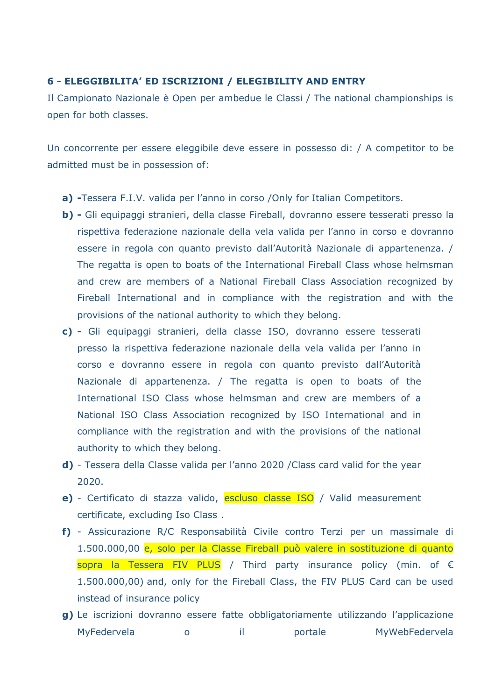#### **6 - ELEGGIBILITA' ED ISCRIZIONI / ELEGIBILITY AND ENTRY**

Il Campionato Nazionale è Open per ambedue le Classi / The national championships is open for both classes.

Un concorrente per essere eleggibile deve essere in possesso di: / A competitor to be admitted must be in possession of:

- **a) -**Tessera F.I.V. valida per l'anno in corso /Only for Italian Competitors.
- **b) -** Gli equipaggi stranieri, della classe Fireball, dovranno essere tesserati presso la rispettiva federazione nazionale della vela valida per l'anno in corso e dovranno essere in regola con quanto previsto dall'Autorità Nazionale di appartenenza. / The regatta is open to boats of the International Fireball Class whose helmsman and crew are members of a National Fireball Class Association recognized by Fireball International and in compliance with the registration and with the provisions of the national authority to which they belong.
- **c) -** Gli equipaggi stranieri, della classe ISO, dovranno essere tesserati presso la rispettiva federazione nazionale della vela valida per l'anno in corso e dovranno essere in regola con quanto previsto dall'Autorità Nazionale di appartenenza. / The regatta is open to boats of the International ISO Class whose helmsman and crew are members of a National ISO Class Association recognized by ISO International and in compliance with the registration and with the provisions of the national authority to which they belong.
- **d)** Tessera della Classe valida per l'anno 2020 /Class card valid for the year 2020.
- **e)** Certificato di stazza valido, escluso classe ISO / Valid measurement certificate, excluding Iso Class .
- **f)** Assicurazione R/C Responsabilità Civile contro Terzi per un massimale di 1.500.000,00 e, solo per la Classe Fireball può valere in sostituzione di quanto sopra la Tessera FIV PLUS / Third party insurance policy (min. of  $\epsilon$ 1.500.000,00) and, only for the Fireball Class, the FIV PLUS Card can be used instead of insurance policy
- **g)** Le iscrizioni dovranno essere fatte obbligatoriamente utilizzando l'applicazione MyFedervela o il portale MyWebFedervela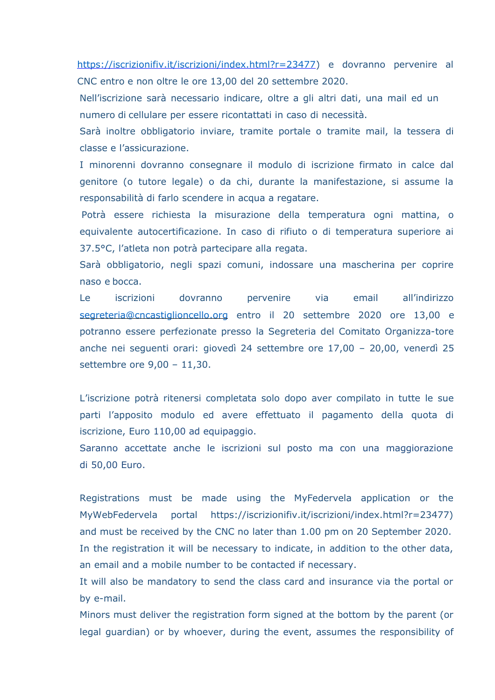[https://iscrizionifiv.it/iscrizioni/index.html?r=23477\)](https://iscrizionifiv.it/iscrizioni/index.html?r=23477) e dovranno pervenire al CNC entro e non oltre le ore 13,00 del 20 settembre 2020.

Nell'iscrizione sarà necessario indicare, oltre a gli altri dati, una mail ed un numero di cellulare per essere ricontattati in caso di necessità.

Sarà inoltre obbligatorio inviare, tramite portale o tramite mail, la tessera di classe e l'assicurazione.

I minorenni dovranno consegnare il modulo di iscrizione firmato in calce dal genitore (o tutore legale) o da chi, durante la manifestazione, si assume la responsabilità di farlo scendere in acqua a regatare.

 Potrà essere richiesta la misurazione della temperatura ogni mattina, o equivalente autocertificazione. In caso di rifiuto o di temperatura superiore ai 37.5°C, l'atleta non potrà partecipare alla regata.

Sarà obbligatorio, negli spazi comuni, indossare una mascherina per coprire naso e bocca.

Le iscrizioni dovranno pervenire via email all'indirizzo [segreteria@cncastiglioncello.org](mailto:segreteria@cncastiglioncello.org) entro il 20 settembre 2020 ore 13,00 e potranno essere perfezionate presso la Segreteria del Comitato Organizza-tore anche nei seguenti orari: giovedì 24 settembre ore 17,00 – 20,00, venerdì 25 settembre ore 9,00 – 11,30.

L'iscrizione potrà ritenersi completata solo dopo aver compilato in tutte le sue parti l'apposito modulo ed avere effettuato il pagamento della quota di iscrizione, Euro 110,00 ad equipaggio.

Saranno accettate anche le iscrizioni sul posto ma con una maggiorazione di 50,00 Euro.

Registrations must be made using the MyFedervela application or the MyWebFedervela portal https://iscrizionifiv.it/iscrizioni/index.html?r=23477) and must be received by the CNC no later than 1.00 pm on 20 September 2020. In the registration it will be necessary to indicate, in addition to the other data, an email and a mobile number to be contacted if necessary.

It will also be mandatory to send the class card and insurance via the portal or by e-mail.

Minors must deliver the registration form signed at the bottom by the parent (or legal guardian) or by whoever, during the event, assumes the responsibility of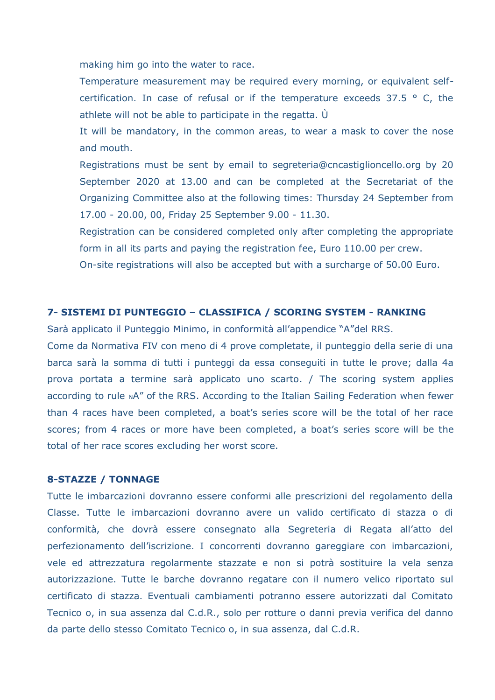making him go into the water to race.

Temperature measurement may be required every morning, or equivalent selfcertification. In case of refusal or if the temperature exceeds  $37.5$  ° C, the athlete will not be able to participate in the regatta. Ù

It will be mandatory, in the common areas, to wear a mask to cover the nose and mouth.

Registrations must be sent by email to segreteria@cncastiglioncello.org by 20 September 2020 at 13.00 and can be completed at the Secretariat of the Organizing Committee also at the following times: Thursday 24 September from 17.00 - 20.00, 00, Friday 25 September 9.00 - 11.30.

Registration can be considered completed only after completing the appropriate form in all its parts and paying the registration fee, Euro 110.00 per crew.

On-site registrations will also be accepted but with a surcharge of 50.00 Euro.

#### **7- SISTEMI DI PUNTEGGIO – CLASSIFICA / SCORING SYSTEM - RANKING**

Sarà applicato il Punteggio Minimo, in conformità all'appendice "A"del RRS.

Come da Normativa FIV con meno di 4 prove completate, il punteggio della serie di una barca sarà la somma di tutti i punteggi da essa conseguiti in tutte le prove; dalla 4a prova portata a termine sarà applicato uno scarto. / The scoring system applies according to rule NA" of the RRS. According to the Italian Sailing Federation when fewer than 4 races have been completed, a boat's series score will be the total of her race scores; from 4 races or more have been completed, a boat's series score will be the total of her race scores excluding her worst score.

## **8-STAZZE / TONNAGE**

Tutte le imbarcazioni dovranno essere conformi alle prescrizioni del regolamento della Classe. Tutte le imbarcazioni dovranno avere un valido certificato di stazza o di conformità, che dovrà essere consegnato alla Segreteria di Regata all'atto del perfezionamento dell'iscrizione. I concorrenti dovranno gareggiare con imbarcazioni, vele ed attrezzatura regolarmente stazzate e non si potrà sostituire la vela senza autorizzazione. Tutte le barche dovranno regatare con il numero velico riportato sul certificato di stazza. Eventuali cambiamenti potranno essere autorizzati dal Comitato Tecnico o, in sua assenza dal C.d.R., solo per rotture o danni previa verifica del danno da parte dello stesso Comitato Tecnico o, in sua assenza, dal C.d.R.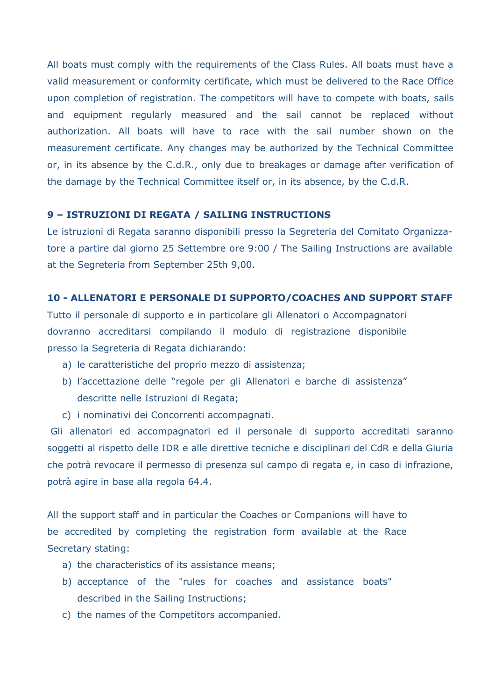All boats must comply with the requirements of the Class Rules. All boats must have a valid measurement or conformity certificate, which must be delivered to the Race Office upon completion of registration. The competitors will have to compete with boats, sails and equipment regularly measured and the sail cannot be replaced without authorization. All boats will have to race with the sail number shown on the measurement certificate. Any changes may be authorized by the Technical Committee or, in its absence by the C.d.R., only due to breakages or damage after verification of the damage by the Technical Committee itself or, in its absence, by the C.d.R.

### **9 – ISTRUZIONI DI REGATA / SAILING INSTRUCTIONS**

Le istruzioni di Regata saranno disponibili presso la Segreteria del Comitato Organizzatore a partire dal giorno 25 Settembre ore 9:00 / The Sailing Instructions are available at the Segreteria from September 25th 9,00.

### **10 - ALLENATORI E PERSONALE DI SUPPORTO/COACHES AND SUPPORT STAFF**

Tutto il personale di supporto e in particolare gli Allenatori o Accompagnatori dovranno accreditarsi compilando il modulo di registrazione disponibile presso la Segreteria di Regata dichiarando:

- a) le caratteristiche del proprio mezzo di assistenza;
- b) l'accettazione delle "regole per gli Allenatori e barche di assistenza" descritte nelle Istruzioni di Regata;
- c) i nominativi dei Concorrenti accompagnati.

Gli allenatori ed accompagnatori ed il personale di supporto accreditati saranno soggetti al rispetto delle IDR e alle direttive tecniche e disciplinari del CdR e della Giuria che potrà revocare il permesso di presenza sul campo di regata e, in caso di infrazione, potrà agire in base alla regola 64.4.

All the support staff and in particular the Coaches or Companions will have to be accredited by completing the registration form available at the Race Secretary stating:

- a) the characteristics of its assistance means;
- b) acceptance of the "rules for coaches and assistance boats" described in the Sailing Instructions;
- c) the names of the Competitors accompanied.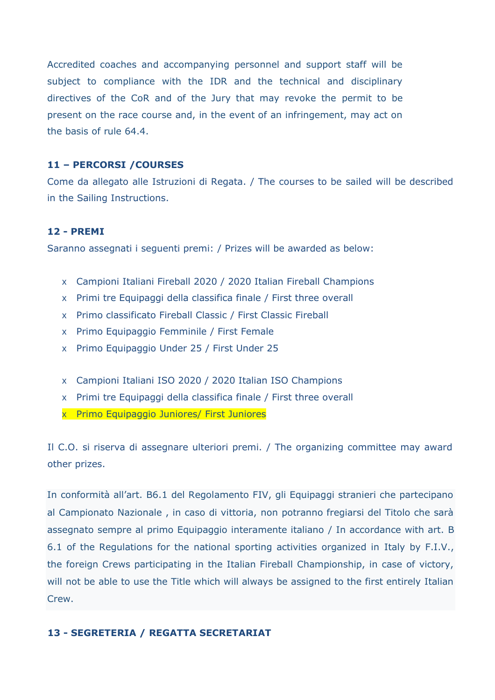Accredited coaches and accompanying personnel and support staff will be subject to compliance with the IDR and the technical and disciplinary directives of the CoR and of the Jury that may revoke the permit to be present on the race course and, in the event of an infringement, may act on the basis of rule 64.4.

#### **11 – PERCORSI /COURSES**

Come da allegato alle Istruzioni di Regata. / The courses to be sailed will be described in the Sailing Instructions.

### **12 - PREMI**

Saranno assegnati i seguenti premi: / Prizes will be awarded as below:

- x Campioni Italiani Fireball 2020 / 2020 Italian Fireball Champions
- x Primi tre Equipaggi della classifica finale / First three overall
- x Primo classificato Fireball Classic / First Classic Fireball
- x Primo Equipaggio Femminile / First Female
- x Primo Equipaggio Under 25 / First Under 25
- x Campioni Italiani ISO 2020 / 2020 Italian ISO Champions
- x Primi tre Equipaggi della classifica finale / First three overall
- x Primo Equipaggio Juniores/ First Juniores

Il C.O. si riserva di assegnare ulteriori premi. / The organizing committee may award other prizes.

In conformità all'art. B6.1 del Regolamento FIV, gli Equipaggi stranieri che partecipano al Campionato Nazionale , in caso di vittoria, non potranno fregiarsi del Titolo che sarà assegnato sempre al primo Equipaggio interamente italiano / In accordance with art. B 6.1 of the Regulations for the national sporting activities organized in Italy by F.I.V., the foreign Crews participating in the Italian Fireball Championship, in case of victory, will not be able to use the Title which will always be assigned to the first entirely Italian Crew.

### **13 - SEGRETERIA / REGATTA SECRETARIAT**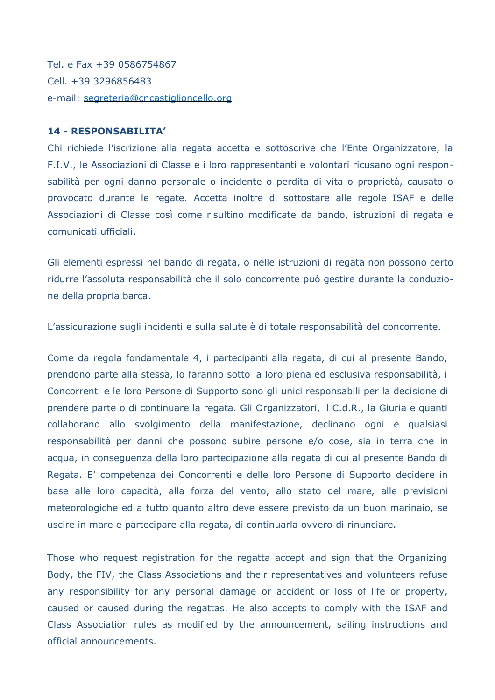Tel. e Fax +39 0586754867 Cell. +39 3296856483 e-mail: [segreteria@cncastiglioncello.org](mailto:segreteria@cncastiglioncello.org)

#### **14 - RESPONSABILITA'**

Chi richiede l'iscrizione alla regata accetta e sottoscrive che l'Ente Organizzatore, la F.I.V., le Associazioni di Classe e i loro rappresentanti e volontari ricusano ogni responsabilità per ogni danno personale o incidente o perdita di vita o proprietà, causato o provocato durante le regate. Accetta inoltre di sottostare alle regole ISAF e delle Associazioni di Classe così come risultino modificate da bando, istruzioni di regata e comunicati ufficiali.

Gli elementi espressi nel bando di regata, o nelle istruzioni di regata non possono certo ridurre l'assoluta responsabilità che il solo concorrente può gestire durante la conduzione della propria barca.

L'assicurazione sugli incidenti e sulla salute è di totale responsabilità del concorrente.

Come da regola fondamentale 4, i partecipanti alla regata, di cui al presente Bando, prendono parte alla stessa, lo faranno sotto la loro piena ed esclusiva responsabilità, i Concorrenti e le loro Persone di Supporto sono gli unici responsabili per la decisione di prendere parte o di continuare la regata. Gli Organizzatori, il C.d.R., la Giuria e quanti collaborano allo svolgimento della manifestazione, declinano ogni e qualsiasi responsabilità per danni che possono subire persone e/o cose, sia in terra che in acqua, in conseguenza della loro partecipazione alla regata di cui al presente Bando di Regata. E' competenza dei Concorrenti e delle loro Persone di Supporto decidere in base alle loro capacità, alla forza del vento, allo stato del mare, alle previsioni meteorologiche ed a tutto quanto altro deve essere previsto da un buon marinaio, se uscire in mare e partecipare alla regata, di continuarla ovvero di rinunciare.

Those who request registration for the regatta accept and sign that the Organizing Body, the FIV, the Class Associations and their representatives and volunteers refuse any responsibility for any personal damage or accident or loss of life or property, caused or caused during the regattas. He also accepts to comply with the ISAF and Class Association rules as modified by the announcement, sailing instructions and official announcements.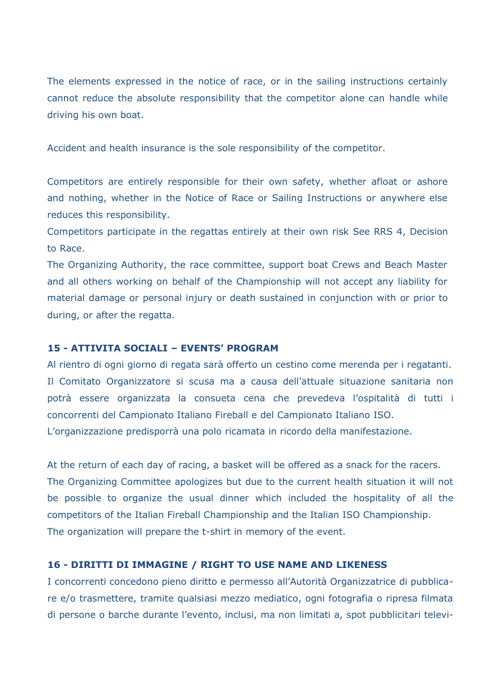The elements expressed in the notice of race, or in the sailing instructions certainly cannot reduce the absolute responsibility that the competitor alone can handle while driving his own boat.

Accident and health insurance is the sole responsibility of the competitor.

Competitors are entirely responsible for their own safety, whether afloat or ashore and nothing, whether in the Notice of Race or Sailing Instructions or anywhere else reduces this responsibility.

Competitors participate in the regattas entirely at their own risk See RRS 4, Decision to Race.

The Organizing Authority, the race committee, support boat Crews and Beach Master and all others working on behalf of the Championship will not accept any liability for material damage or personal injury or death sustained in conjunction with or prior to during, or after the regatta.

#### **15 - ATTIVITA SOCIALI – EVENTS' PROGRAM**

Al rientro di ogni giorno di regata sarà offerto un cestino come merenda per i regatanti. Il Comitato Organizzatore si scusa ma a causa dell'attuale situazione sanitaria non potrà essere organizzata la consueta cena che prevedeva l'ospitalità di tutti i concorrenti del Campionato Italiano Fireball e del Campionato Italiano ISO. L'organizzazione predisporrà una polo ricamata in ricordo della manifestazione.

At the return of each day of racing, a basket will be offered as a snack for the racers. The Organizing Committee apologizes but due to the current health situation it will not be possible to organize the usual dinner which included the hospitality of all the competitors of the Italian Fireball Championship and the Italian ISO Championship. The organization will prepare the t-shirt in memory of the event.

#### **16 - DIRITTI DI IMMAGINE / RIGHT TO USE NAME AND LIKENESS**

I concorrenti concedono pieno diritto e permesso all'Autorità Organizzatrice di pubblicare e/o trasmettere, tramite qualsiasi mezzo mediatico, ogni fotografia o ripresa filmata di persone o barche durante l'evento, inclusi, ma non limitati a, spot pubblicitari televi